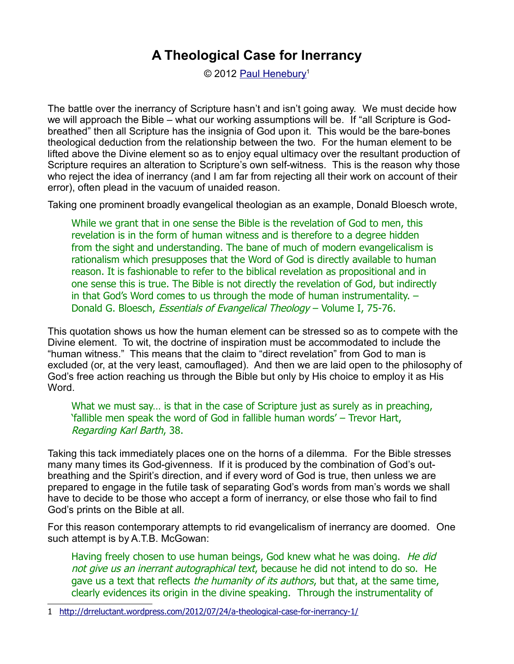© 2012 [Paul Henebury](http://www.spiritandtruth.org/id/ph.htm)<sup>[1](#page-0-0)</sup>

The battle over the inerrancy of Scripture hasn't and isn't going away. We must decide how we will approach the Bible – what our working assumptions will be. If "all Scripture is Godbreathed" then all Scripture has the insignia of God upon it. This would be the bare-bones theological deduction from the relationship between the two. For the human element to be lifted above the Divine element so as to enjoy equal ultimacy over the resultant production of Scripture requires an alteration to Scripture's own self-witness. This is the reason why those who reject the idea of inerrancy (and I am far from rejecting all their work on account of their error), often plead in the vacuum of unaided reason.

Taking one prominent broadly evangelical theologian as an example, Donald Bloesch wrote,

While we grant that in one sense the Bible is the revelation of God to men, this revelation is in the form of human witness and is therefore to a degree hidden from the sight and understanding. The bane of much of modern evangelicalism is rationalism which presupposes that the Word of God is directly available to human reason. It is fashionable to refer to the biblical revelation as propositional and in one sense this is true. The Bible is not directly the revelation of God, but indirectly in that God's Word comes to us through the mode of human instrumentality. – Donald G. Bloesch, Essentials of Evangelical Theology – Volume I, 75-76.

This quotation shows us how the human element can be stressed so as to compete with the Divine element. To wit, the doctrine of inspiration must be accommodated to include the "human witness." This means that the claim to "direct revelation" from God to man is excluded (or, at the very least, camouflaged). And then we are laid open to the philosophy of God's free action reaching us through the Bible but only by His choice to employ it as His Word.

What we must say... is that in the case of Scripture just as surely as in preaching, 'fallible men speak the word of God in fallible human words' – Trevor Hart, Regarding Karl Barth, 38.

Taking this tack immediately places one on the horns of a dilemma. For the Bible stresses many many times its God-givenness. If it is produced by the combination of God's outbreathing and the Spirit's direction, and if every word of God is true, then unless we are prepared to engage in the futile task of separating God's words from man's words we shall have to decide to be those who accept a form of inerrancy, or else those who fail to find God's prints on the Bible at all.

For this reason contemporary attempts to rid evangelicalism of inerrancy are doomed. One such attempt is by A.T.B. McGowan:

Having freely chosen to use human beings, God knew what he was doing. He did not give us an inerrant autographical text, because he did not intend to do so. He gave us a text that reflects the humanity of its authors, but that, at the same time, clearly evidences its origin in the divine speaking. Through the instrumentality of

<span id="page-0-0"></span>1<http://drreluctant.wordpress.com/2012/07/24/a-theological-case-for-inerrancy-1/>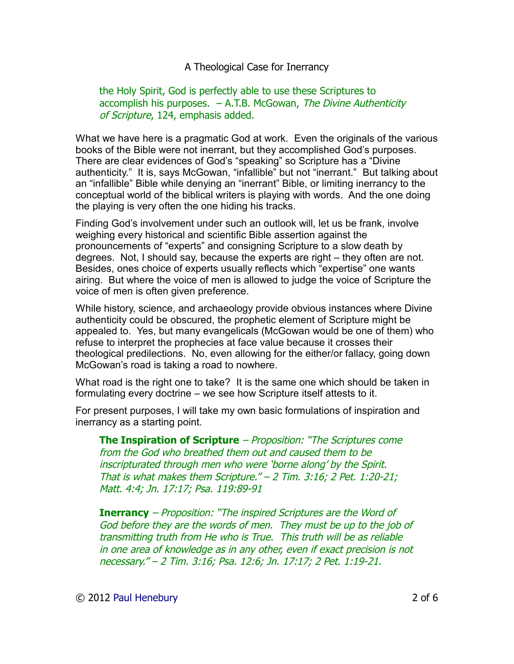#### the Holy Spirit, God is perfectly able to use these Scriptures to  $accomplish$  his purposes.  $-$  A.T.B. McGowan, The Divine Authenticity of Scripture, 124, emphasis added.

What we have here is a pragmatic God at work. Even the originals of the various books of the Bible were not inerrant, but they accomplished God's purposes. There are clear evidences of God's "speaking" so Scripture has a "Divine authenticity." It is, says McGowan, "infallible" but not "inerrant." But talking about an "infallible" Bible while denying an "inerrant" Bible, or limiting inerrancy to the conceptual world of the biblical writers is playing with words. And the one doing the playing is very often the one hiding his tracks.

Finding God's involvement under such an outlook will, let us be frank, involve weighing every historical and scientific Bible assertion against the pronouncements of "experts" and consigning Scripture to a slow death by degrees. Not, I should say, because the experts are right – they often are not. Besides, ones choice of experts usually reflects which "expertise" one wants airing. But where the voice of men is allowed to judge the voice of Scripture the voice of men is often given preference.

While history, science, and archaeology provide obvious instances where Divine authenticity could be obscured, the prophetic element of Scripture might be appealed to. Yes, but many evangelicals (McGowan would be one of them) who refuse to interpret the prophecies at face value because it crosses their theological predilections. No, even allowing for the either/or fallacy, going down McGowan's road is taking a road to nowhere.

What road is the right one to take? It is the same one which should be taken in formulating every doctrine – we see how Scripture itself attests to it.

For present purposes, I will take my own basic formulations of inspiration and inerrancy as a starting point.

**The Inspiration of Scripture** – Proposition: "The Scriptures come from the God who breathed them out and caused them to be inscripturated through men who were 'borne along' by the Spirit. That is what makes them Scripture." – 2 Tim. 3:16; 2 Pet. 1:20-21; Matt. 4:4; Jn. 17:17; Psa. 119:89-91

**Inerrancy** – Proposition: "The inspired Scriptures are the Word of God before they are the words of men. They must be up to the job of transmitting truth from He who is True. This truth will be as reliable in one area of knowledge as in any other, even if exact precision is not necessary." – 2 Tim. 3:16; Psa. 12:6; Jn. 17:17; 2 Pet. 1:19-21.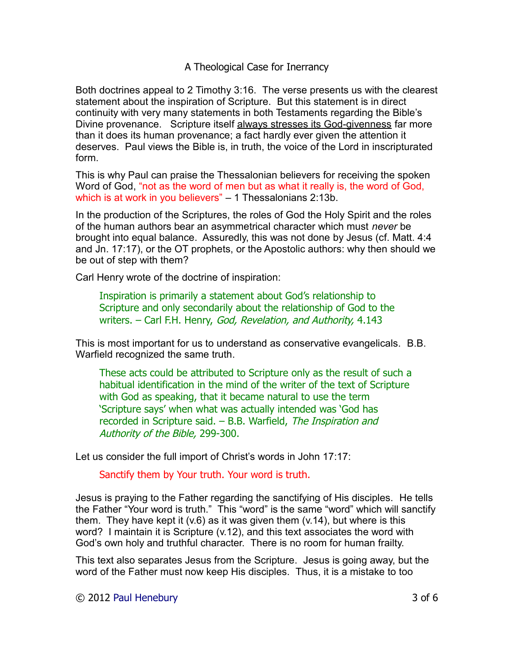Both doctrines appeal to 2 Timothy 3:16. The verse presents us with the clearest statement about the inspiration of Scripture. But this statement is in direct continuity with very many statements in both Testaments regarding the Bible's Divine provenance. Scripture itself always stresses its God-givenness far more than it does its human provenance; a fact hardly ever given the attention it deserves. Paul views the Bible is, in truth, the voice of the Lord in inscripturated form.

This is why Paul can praise the Thessalonian believers for receiving the spoken Word of God, "not as the word of men but as what it really is, the word of God, which is at work in you believers" – 1 Thessalonians 2:13b.

In the production of the Scriptures, the roles of God the Holy Spirit and the roles of the human authors bear an asymmetrical character which must *never* be brought into equal balance. Assuredly, this was not done by Jesus (cf. Matt. 4:4 and Jn. 17:17), or the OT prophets, or the Apostolic authors: why then should we be out of step with them?

Carl Henry wrote of the doctrine of inspiration:

Inspiration is primarily a statement about God's relationship to Scripture and only secondarily about the relationship of God to the writers. – Carl F.H. Henry, God, Revelation, and Authority, 4.143

This is most important for us to understand as conservative evangelicals. B.B. Warfield recognized the same truth.

These acts could be attributed to Scripture only as the result of such a habitual identification in the mind of the writer of the text of Scripture with God as speaking, that it became natural to use the term 'Scripture says' when what was actually intended was 'God has recorded in Scripture said. – B.B. Warfield, The Inspiration and Authority of the Bible, 299-300.

Let us consider the full import of Christ's words in John 17:17:

Sanctify them by Your truth. Your word is truth.

Jesus is praying to the Father regarding the sanctifying of His disciples. He tells the Father "Your word is truth." This "word" is the same "word" which will sanctify them. They have kept it  $(v.6)$  as it was given them  $(v.14)$ , but where is this word? I maintain it is Scripture (v.12), and this text associates the word with God's own holy and truthful character. There is no room for human frailty.

This text also separates Jesus from the Scripture. Jesus is going away, but the word of the Father must now keep His disciples. Thus, it is a mistake to too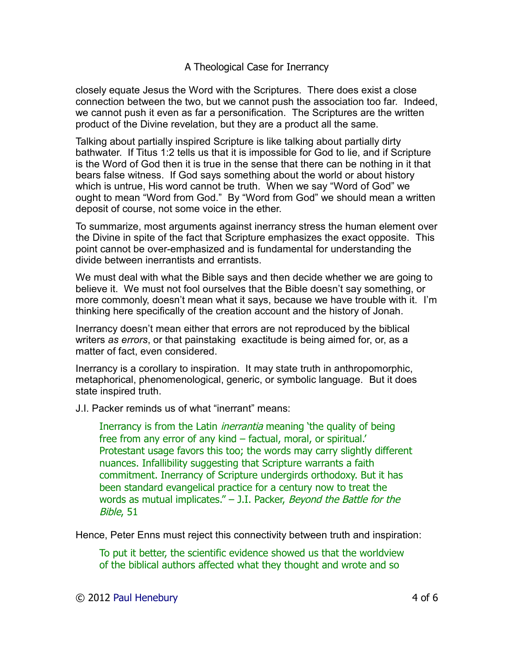closely equate Jesus the Word with the Scriptures. There does exist a close connection between the two, but we cannot push the association too far. Indeed, we cannot push it even as far a personification. The Scriptures are the written product of the Divine revelation, but they are a product all the same.

Talking about partially inspired Scripture is like talking about partially dirty bathwater. If Titus 1:2 tells us that it is impossible for God to lie, and if Scripture is the Word of God then it is true in the sense that there can be nothing in it that bears false witness. If God says something about the world or about history which is untrue, His word cannot be truth. When we say "Word of God" we ought to mean "Word from God." By "Word from God" we should mean a written deposit of course, not some voice in the ether.

To summarize, most arguments against inerrancy stress the human element over the Divine in spite of the fact that Scripture emphasizes the exact opposite. This point cannot be over-emphasized and is fundamental for understanding the divide between inerrantists and errantists.

We must deal with what the Bible says and then decide whether we are going to believe it. We must not fool ourselves that the Bible doesn't say something, or more commonly, doesn't mean what it says, because we have trouble with it. I'm thinking here specifically of the creation account and the history of Jonah.

Inerrancy doesn't mean either that errors are not reproduced by the biblical writers *as errors*, or that painstaking exactitude is being aimed for, or, as a matter of fact, even considered.

Inerrancy is a corollary to inspiration. It may state truth in anthropomorphic, metaphorical, phenomenological, generic, or symbolic language. But it does state inspired truth.

J.I. Packer reminds us of what "inerrant" means:

Inerrancy is from the Latin *inerrantia* meaning 'the quality of being free from any error of any kind – factual, moral, or spiritual.' Protestant usage favors this too; the words may carry slightly different nuances. Infallibility suggesting that Scripture warrants a faith commitment. Inerrancy of Scripture undergirds orthodoxy. But it has been standard evangelical practice for a century now to treat the words as mutual implicates."  $-$  J.I. Packer, Beyond the Battle for the Bible, 51

Hence, Peter Enns must reject this connectivity between truth and inspiration:

To put it better, the scientific evidence showed us that the worldview of the biblical authors affected what they thought and wrote and so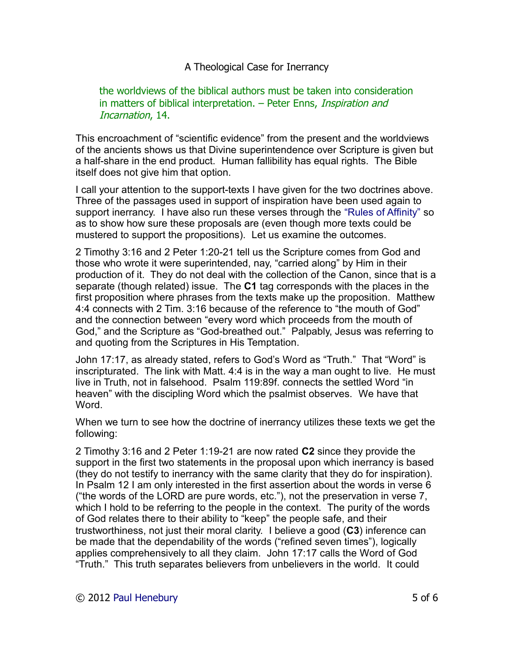#### the worldviews of the biblical authors must be taken into consideration in matters of biblical interpretation. – Peter Enns, *Inspiration and* Incarnation, 14.

This encroachment of "scientific evidence" from the present and the worldviews of the ancients shows us that Divine superintendence over Scripture is given but a half-share in the end product. Human fallibility has equal rights. The Bible itself does not give him that option.

I call your attention to the support-texts I have given for the two doctrines above. Three of the passages used in support of inspiration have been used again to support inerrancy. I have also run these verses through the ["Rules of Affinity"](http://drreluctant.wordpress.com/2012/04/03/rules-of-affinity/) so as to show how sure these proposals are (even though more texts could be mustered to support the propositions). Let us examine the outcomes.

2 Timothy 3:16 and 2 Peter 1:20-21 tell us the Scripture comes from God and those who wrote it were superintended, nay, "carried along" by Him in their production of it. They do not deal with the collection of the Canon, since that is a separate (though related) issue. The **C1** tag corresponds with the places in the first proposition where phrases from the texts make up the proposition. Matthew 4:4 connects with 2 Tim. 3:16 because of the reference to "the mouth of God" and the connection between "every word which proceeds from the mouth of God," and the Scripture as "God-breathed out." Palpably, Jesus was referring to and quoting from the Scriptures in His Temptation.

John 17:17, as already stated, refers to God's Word as "Truth." That "Word" is inscripturated. The link with Matt. 4:4 is in the way a man ought to live. He must live in Truth, not in falsehood. Psalm 119:89f. connects the settled Word "in heaven" with the discipling Word which the psalmist observes. We have that Word.

When we turn to see how the doctrine of inerrancy utilizes these texts we get the following:

2 Timothy 3:16 and 2 Peter 1:19-21 are now rated **C2** since they provide the support in the first two statements in the proposal upon which inerrancy is based (they do not testify to inerrancy with the same clarity that they do for inspiration). In Psalm 12 I am only interested in the first assertion about the words in verse 6 ("the words of the LORD are pure words, etc."), not the preservation in verse 7, which I hold to be referring to the people in the context. The purity of the words of God relates there to their ability to "keep" the people safe, and their trustworthiness, not just their moral clarity. I believe a good (**C3**) inference can be made that the dependability of the words ("refined seven times"), logically applies comprehensively to all they claim. John 17:17 calls the Word of God "Truth." This truth separates believers from unbelievers in the world. It could